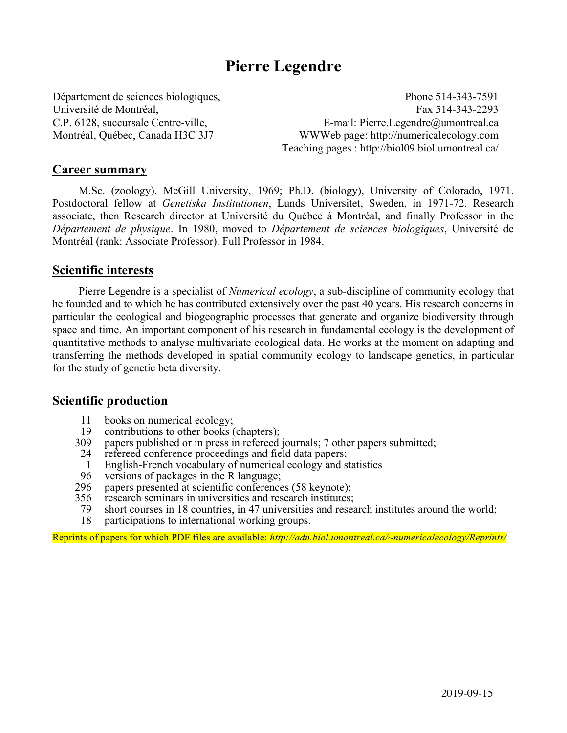# **Pierre Legendre**

Département de sciences biologiques, Phone 514-343-7591 Université de Montréal, Fax 514-343-2293 C.P. 6128, succursale Centre-ville, E-mail: Pierre.Legendre@umontreal.ca Montréal, Québec, Canada H3C 3J7 WWWeb page: http://numericalecology.com Teaching pages : http://biol09.biol.umontreal.ca/

## **Career summary**

M.Sc. (zoology), McGill University, 1969; Ph.D. (biology), University of Colorado, 1971. Postdoctoral fellow at *Genetiska Institutionen*, Lunds Universitet, Sweden, in 1971-72. Research associate, then Research director at Université du Québec à Montréal, and finally Professor in the *Département de physique*. In 1980, moved to *Département de sciences biologiques*, Université de Montréal (rank: Associate Professor). Full Professor in 1984.

## **Scientific interests**

Pierre Legendre is a specialist of *Numerical ecology*, a sub-discipline of community ecology that he founded and to which he has contributed extensively over the past 40 years. His research concerns in particular the ecological and biogeographic processes that generate and organize biodiversity through space and time. An important component of his research in fundamental ecology is the development of quantitative methods to analyse multivariate ecological data. He works at the moment on adapting and transferring the methods developed in spatial community ecology to landscape genetics, in particular for the study of genetic beta diversity.

## **Scientific production**

- 11 books on numerical ecology;<br>19 contributions to other books (
- 19 contributions to other books (chapters);<br>309 papers published or in press in refereed
- 309 papers published or in press in refereed journals; 7 other papers submitted;<br>24 refereed conference proceedings and field data papers:
- refereed conference proceedings and field data papers;
- 1 English-French vocabulary of numerical ecology and statistics<br>96 versions of nackages in the R language
- 96 versions of packages in the R language;<br>296 papers presented at scientific conference
- 296 papers presented at scientific conferences (58 keynote);<br>356 research seminars in universities and research institutes:
- 56 research seminars in universities and research institutes;<br>79 short courses in 18 countries, in 47 universities and research
- 79 short courses in 18 countries, in 47 universities and research institutes around the world;
- participations to international working groups.

Reprints of papers for which PDF files are available: *http://adn.biol.umontreal.ca/~numericalecology/Reprints/*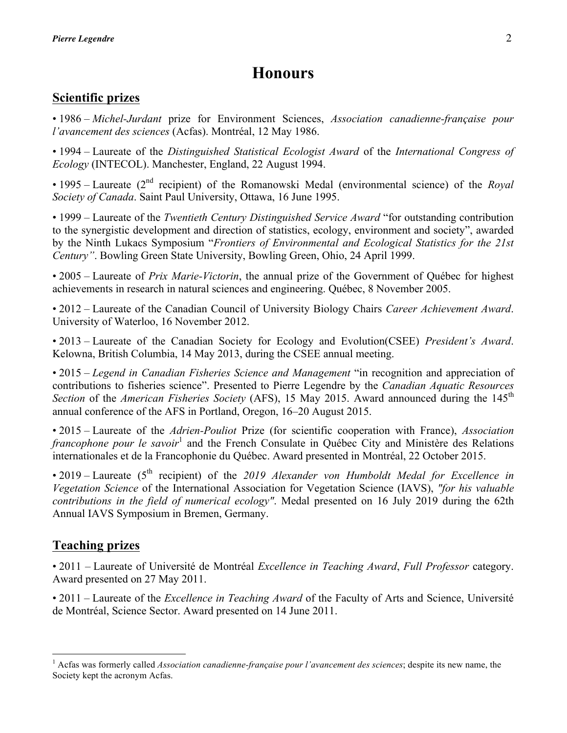# **Honours**

## **Scientific prizes**

• 1986 – *Michel-Jurdant* prize for Environment Sciences, *Association canadienne-française pour l'avancement des sciences* (Acfas). Montréal, 12 May 1986.

• 1994 – Laureate of the *Distinguished Statistical Ecologist Award* of the *International Congress of Ecology* (INTECOL). Manchester, England, 22 August 1994.

• 1995 – Laureate (2<sup>nd</sup> recipient) of the Romanowski Medal (environmental science) of the *Royal Society of Canada*. Saint Paul University, Ottawa, 16 June 1995.

• 1999 – Laureate of the *Twentieth Century Distinguished Service Award* "for outstanding contribution to the synergistic development and direction of statistics, ecology, environment and society", awarded by the Ninth Lukacs Symposium "*Frontiers of Environmental and Ecological Statistics for the 21st Century"*. Bowling Green State University, Bowling Green, Ohio, 24 April 1999.

• 2005 – Laureate of *Prix Marie-Victorin*, the annual prize of the Government of Québec for highest achievements in research in natural sciences and engineering. Québec, 8 November 2005.

• 2012 – Laureate of the Canadian Council of University Biology Chairs *Career Achievement Award*. University of Waterloo, 16 November 2012.

• 2013 – Laureate of the Canadian Society for Ecology and Evolution(CSEE) *President's Award*. Kelowna, British Columbia, 14 May 2013, during the CSEE annual meeting.

• 2015 – *Legend in Canadian Fisheries Science and Management* "in recognition and appreciation of contributions to fisheries science". Presented to Pierre Legendre by the *Canadian Aquatic Resources Section* of the *American Fisheries Society* (AFS), 15 May 2015. Award announced during the 145<sup>th</sup> annual conference of the AFS in Portland, Oregon, 16–20 August 2015.

• 2015 – Laureate of the *Adrien-Pouliot* Prize (for scientific cooperation with France), *Association francophone pour le savoir*<sup>1</sup> and the French Consulate in Québec City and Ministère des Relations internationales et de la Francophonie du Québec. Award presented in Montréal, 22 October 2015.

• 2019 – Laureate (5<sup>th</sup> recipient) of the 2019 Alexander von Humboldt Medal for Excellence in *Vegetation Science* of the International Association for Vegetation Science (IAVS), *"for his valuable contributions in the field of numerical ecology"*. Medal presented on 16 July 2019 during the 62th Annual IAVS Symposium in Bremen, Germany.

## **Teaching prizes**

• 2011 – Laureate of Université de Montréal *Excellence in Teaching Award*, *Full Professor* category. Award presented on 27 May 2011.

• 2011 – Laureate of the *Excellence in Teaching Award* of the Faculty of Arts and Science, Université de Montréal, Science Sector. Award presented on 14 June 2011.

<sup>1</sup> Acfas was formerly called *Association canadienne-française pour l'avancement des sciences*; despite its new name, the Society kept the acronym Acfas.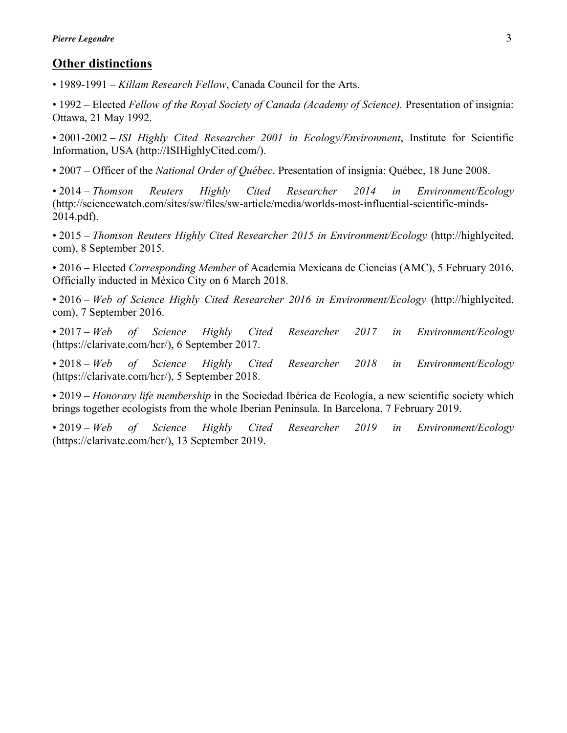## **Other distinctions**

• 1989-1991 – *Killam Research Fellow*, Canada Council for the Arts.

• 1992 – Elected *Fellow of the Royal Society of Canada (Academy of Science).* Presentation of insignia: Ottawa, 21 May 1992.

• 2001-2002 – *ISI Highly Cited Researcher 2001 in Ecology/Environment*, Institute for Scientific Information, USA (http://ISIHighlyCited.com/).

• 2007 – Officer of the *National Order of Québec*. Presentation of insignia: Québec, 18 June 2008.

• 2014 – *Thomson Reuters Highly Cited Researcher 2014 in Environment/Ecology* (http://sciencewatch.com/sites/sw/files/sw-article/media/worlds-most-influential-scientific-minds-2014.pdf).

• 2015 – *Thomson Reuters Highly Cited Researcher 2015 in Environment/Ecology* (http://highlycited. com), 8 September 2015.

• 2016 – Elected *Corresponding Member* of Academia Mexicana de Ciencias (AMC), 5 February 2016. Officially inducted in México City on 6 March 2018.

• 2016 – *Web of Science Highly Cited Researcher 2016 in Environment/Ecology* (http://highlycited. com), 7 September 2016.

• 2017 – *Web of Science Highly Cited Researcher 2017 in Environment/Ecology* (https://clarivate.com/hcr/), 6 September 2017.

• 2018 – *Web of Science Highly Cited Researcher 2018 in Environment/Ecology* (https://clarivate.com/hcr/), 5 September 2018.

• 2019 – *Honorary life membership* in the Sociedad Ibérica de Ecología, a new scientific society which brings together ecologists from the whole Iberian Peninsula. In Barcelona, 7 February 2019.

• 2019 – *Web of Science Highly Cited Researcher 2019 in Environment/Ecology* (https://clarivate.com/hcr/), 13 September 2019.